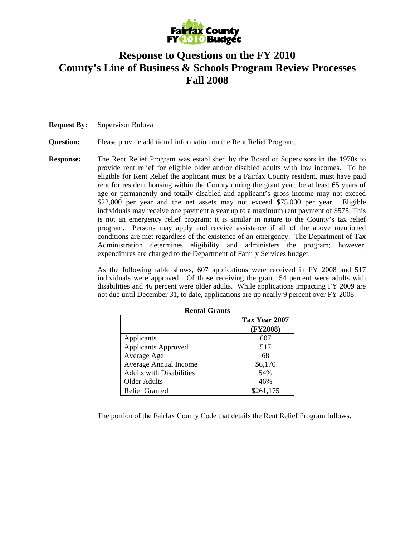

# **Response to Questions on the FY 2010 County's Line of Business & Schools Program Review Processes Fall 2008**

**Request By:** Supervisor Bulova

#### **Question:** Please provide additional information on the Rent Relief Program.

**Response:** The Rent Relief Program was established by the Board of Supervisors in the 1970s to provide rent relief for eligible older and/or disabled adults with low incomes. To be eligible for Rent Relief the applicant must be a Fairfax County resident, must have paid rent for resident housing within the County during the grant year, be at least 65 years of age or permanently and totally disabled and applicant's gross income may not exceed \$22,000 per year and the net assets may not exceed \$75,000 per year. Eligible individuals may receive one payment a year up to a maximum rent payment of \$575. This is not an emergency relief program; it is similar in nature to the County's tax relief program. Persons may apply and receive assistance if all of the above mentioned conditions are met regardless of the existence of an emergency. The Department of Tax Administration determines eligibility and administers the program; however, expenditures are charged to the Department of Family Services budget.

> As the following table shows, 607 applications were received in FY 2008 and 517 individuals were approved. Of those receiving the grant, 54 percent were adults with disabilities and 46 percent were older adults. While applications impacting FY 2009 are not due until December 31, to date, applications are up nearly 9 percent over FY 2008.

| Rental Grants                   |               |
|---------------------------------|---------------|
|                                 | Tax Year 2007 |
|                                 | (FY2008)      |
| Applicants                      | 607           |
| <b>Applicants Approved</b>      | 517           |
| Average Age                     | 68            |
| <b>Average Annual Income</b>    | \$6,170       |
| <b>Adults with Disabilities</b> | 54%           |
| Older Adults                    | 46%           |
| <b>Relief Granted</b>           | \$261,175     |

**Rental Grants** 

The portion of the Fairfax County Code that details the Rent Relief Program follows.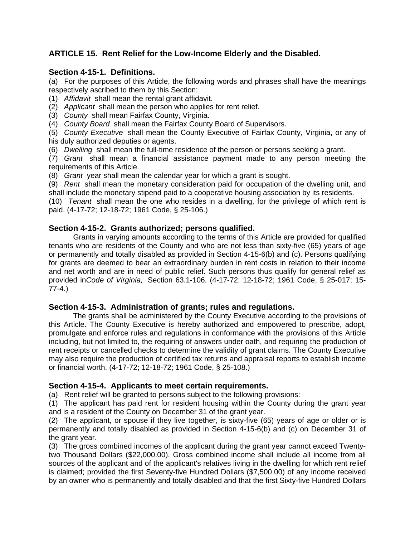## **ARTICLE 15. Rent Relief for the Low-Income Elderly and the Disabled.**

### **Section 4-15-1. Definitions.**

(a) For the purposes of this Article, the following words and phrases shall have the meanings respectively ascribed to them by this Section:

(1) *Affidavit* shall mean the rental grant affidavit.

- (2) *Applicant* shall mean the person who applies for rent relief.
- (3) *County* shall mean Fairfax County, Virginia.

(4) *County Board* shall mean the Fairfax County Board of Supervisors.

(5) *County Executive* shall mean the County Executive of Fairfax County, Virginia, or any of his duly authorized deputies or agents.

(6) *Dwelling* shall mean the full-time residence of the person or persons seeking a grant.

(7) *Grant* shall mean a financial assistance payment made to any person meeting the requirements of this Article.

(8) *Grant* year shall mean the calendar year for which a grant is sought.

(9) *Rent* shall mean the monetary consideration paid for occupation of the dwelling unit, and shall include the monetary stipend paid to a cooperative housing association by its residents.

(10) *Tenant* shall mean the one who resides in a dwelling, for the privilege of which rent is paid. (4-17-72; 12-18-72; 1961 Code, § 25-106.)

#### **Section 4-15-2. Grants authorized; persons qualified.**

Grants in varying amounts according to the terms of this Article are provided for qualified tenants who are residents of the County and who are not less than sixty-five (65) years of age or permanently and totally disabled as provided in Section 4-15-6(b) and (c). Persons qualifying for grants are deemed to bear an extraordinary burden in rent costs in relation to their income and net worth and are in need of public relief. Such persons thus qualify for general relief as provided in*Code of Virginia,* Section 63.1-106. (4-17-72; 12-18-72; 1961 Code, § 25-017; 15- 77-4.)

#### **Section 4-15-3. Administration of grants; rules and regulations.**

The grants shall be administered by the County Executive according to the provisions of this Article. The County Executive is hereby authorized and empowered to prescribe, adopt, promulgate and enforce rules and regulations in conformance with the provisions of this Article including, but not limited to, the requiring of answers under oath, and requiring the production of rent receipts or cancelled checks to determine the validity of grant claims. The County Executive may also require the production of certified tax returns and appraisal reports to establish income or financial worth. (4-17-72; 12-18-72; 1961 Code, § 25-108.)

#### **Section 4-15-4. Applicants to meet certain requirements.**

(a) Rent relief will be granted to persons subject to the following provisions:

(1) The applicant has paid rent for resident housing within the County during the grant year and is a resident of the County on December 31 of the grant year.

(2) The applicant, or spouse if they live together, is sixty-five (65) years of age or older or is permanently and totally disabled as provided in Section 4-15-6(b) and (c) on December 31 of the grant year.

(3) The gross combined incomes of the applicant during the grant year cannot exceed Twentytwo Thousand Dollars (\$22,000.00). Gross combined income shall include all income from all sources of the applicant and of the applicant's relatives living in the dwelling for which rent relief is claimed; provided the first Seventy-five Hundred Dollars (\$7,500.00) of any income received by an owner who is permanently and totally disabled and that the first Sixty-five Hundred Dollars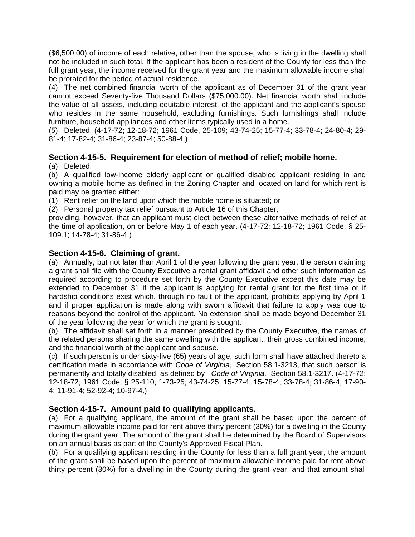(\$6,500.00) of income of each relative, other than the spouse, who is living in the dwelling shall not be included in such total. If the applicant has been a resident of the County for less than the full grant year, the income received for the grant year and the maximum allowable income shall be prorated for the period of actual residence.

(4) The net combined financial worth of the applicant as of December 31 of the grant year cannot exceed Seventy-five Thousand Dollars (\$75,000.00). Net financial worth shall include the value of all assets, including equitable interest, of the applicant and the applicant's spouse who resides in the same household, excluding furnishings. Such furnishings shall include furniture, household appliances and other items typically used in a home.

(5) Deleted. (4-17-72; 12-18-72; 1961 Code, 25-109; 43-74-25; 15-77-4; 33-78-4; 24-80-4; 29- 81-4; 17-82-4; 31-86-4; 23-87-4; 50-88-4.)

## **Section 4-15-5. Requirement for election of method of relief; mobile home.**

#### (a) Deleted.

(b) A qualified low-income elderly applicant or qualified disabled applicant residing in and owning a mobile home as defined in the Zoning Chapter and located on land for which rent is paid may be granted either:

(1) Rent relief on the land upon which the mobile home is situated; or

(2) Personal property tax relief pursuant to Article 16 of this Chapter;

providing, however, that an applicant must elect between these alternative methods of relief at the time of application, on or before May 1 of each year. (4-17-72; 12-18-72; 1961 Code, § 25- 109.1; 14-78-4; 31-86-4.)

#### **Section 4-15-6. Claiming of grant.**

(a) Annually, but not later than April 1 of the year following the grant year, the person claiming a grant shall file with the County Executive a rental grant affidavit and other such information as required according to procedure set forth by the County Executive except this date may be extended to December 31 if the applicant is applying for rental grant for the first time or if hardship conditions exist which, through no fault of the applicant, prohibits applying by April 1 and if proper application is made along with sworn affidavit that failure to apply was due to reasons beyond the control of the applicant. No extension shall be made beyond December 31 of the year following the year for which the grant is sought.

(b) The affidavit shall set forth in a manner prescribed by the County Executive, the names of the related persons sharing the same dwelling with the applicant, their gross combined income, and the financial worth of the applicant and spouse.

(c) If such person is under sixty-five (65) years of age, such form shall have attached thereto a certification made in accordance with *Code of Virginia,* Section 58.1-3213, that such person is permanently and totally disabled, as defined by *Code of Virginia,* Section 58.1-3217. (4-17-72; 12-18-72; 1961 Code, § 25-110; 1-73-25; 43-74-25; 15-77-4; 15-78-4; 33-78-4; 31-86-4; 17-90- 4; 11-91-4; 52-92-4; 10-97-4.)

#### **Section 4-15-7. Amount paid to qualifying applicants.**

(a) For a qualifying applicant, the amount of the grant shall be based upon the percent of maximum allowable income paid for rent above thirty percent (30%) for a dwelling in the County during the grant year. The amount of the grant shall be determined by the Board of Supervisors on an annual basis as part of the County's Approved Fiscal Plan.

(b) For a qualifying applicant residing in the County for less than a full grant year, the amount of the grant shall be based upon the percent of maximum allowable income paid for rent above thirty percent (30%) for a dwelling in the County during the grant year, and that amount shall